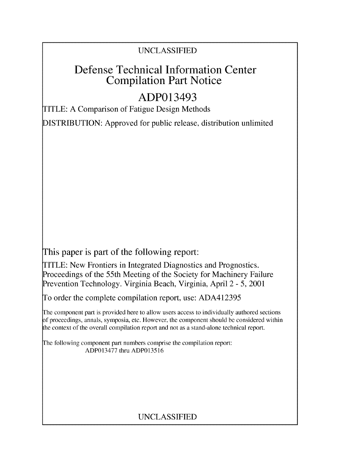### UNCLASSIFIED

## Defense Technical Information Center Compilation Part Notice

# ADP013493

TITLE: A Comparison of Fatigue Design Methods

DISTRIBUTION: Approved for public release, distribution unlimited

This paper is part of the following report:

TITLE: New Frontiers in Integrated Diagnostics and Prognostics. Proceedings of the 55th Meeting of the Society for Machinery Failure Prevention Technology. Virginia Beach, Virginia, April 2 - 5, 2001

To order the complete compilation report, use: ADA412395

The component part is provided here to allow users access to individually authored sections **)f** proceedings, annals, symposia, etc. However, the component should be considered within [he context of the overall compilation report and not as a stand-alone technical report.

The following component part numbers comprise the compilation report: ADP013477 thru ADP013516

## UNCLASSIFIED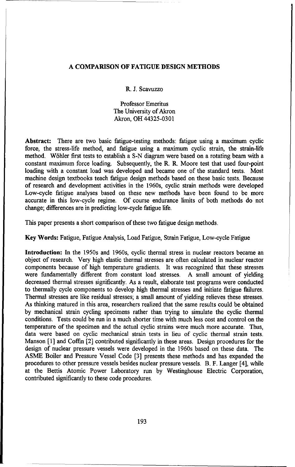#### **A** COMPARISON OF **FATIGUE DESIGN METHODS**

R. **J.** Scavuzzo

Professor Emeritus The University of Akron Akron, OH 44325-0301

Abstract: There are two basic fatigue-testing methods: fatigue using a maximum cyclic force, the stress-life method, and fatigue using a maximum cyclic strain, the strain-life method. W6hler first tests to establish a S-N diagram were based on a rotating beam with a constant maximum force loading. Subsequently, the R. R. Moore test that used four-point loading with a constant load was developed and became one of the standard tests. Most machine design textbooks teach fatigue design methods based on these basic tests. Because of research and development activities in the 1960s, cyclic strain methods were developed Low-cycle fatigue analyses based on these new methods have been found to be more accurate in this low-cycle regime. Of course endurance limits of both methods do not change; differences are in predicting low-cycle fatigue life.

This paper presents a short comparison of these two fatigue design methods.

Key Words: Fatigue, Fatigue Analysis, Load Fatigue, Strain Fatigue, Low-cycle Fatigue

Introduction: In the 1950s and 1960s, cyclic thermal stress in nuclear reactors became an object of research. Very high elastic thermal stresses are often calculated in nuclear reactor components because of high temperature gradients. It was recognized that these stresses were fundamentally different from constant load stresses. A small amount of yielding decreased thermal stresses significantly. As a result, elaborate test programs were conducted to thermally cycle components to develop high thermal stresses and initiate fatigue failures. Thermal stresses are like residual stresses; a small amount of yielding relieves these stresses. As thinking matured in this area, researchers realized that the same results could be obtained by mechanical strain cycling specimens rather than trying to simulate the cyclic thermal conditions. Tests could be run in a much shorter time with much less cost and control on the temperature of the specimen and the actual cyclic strains were much more accurate. Thus, data were based on cyclic mechanical strain tests in lieu of cyclic thermal strain tests. Manson [1] and Coffin [2] contributed significantly in these areas. Design procedures for the design of nuclear pressure vessels were developed in the 1960s based on these data. The ASME Boiler and Pressure Vessel Code [3] presents these methods and has expanded the procedures to other pressure vessels besides nuclear pressure vessels. B. F. Langer [4], while at the Bettis Atomic Power Laboratory run by Westinghouse Electric Corporation, contributed significantly to these code procedures.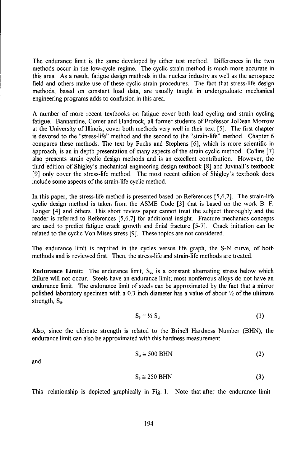The endurance limit is the same developed by either test method. Differences in the two methods occur in the low-cycle regime. The cyclic strain method is much more accurate in this area. As a result, fatigue design methods in the nuclear industry as well as the aerospace field and others make use of these cyclic strain procedures. The fact that stress-life design methods, based on constant load data, are usually taught in undergraduate mechanical engineering programs adds to confusion in this area.

A number of more recent textbooks on fatigue cover both load cycling and strain cycling fatigue. Bannantine, Comer and Handrock, all former students of Professor JoDean Morrow at the University of Illinois, cover both methods very well in their text [5]. The first chapter is devoted to the "stress-life" method and the second to the "strain-life" method. Chapter 6 compares these methods. The text by Fuchs and Stephens [6], which is more scientific in approach, is an in depth presentation of many aspects of the strain cyclic method. Collins [7] also presents strain cyclic design methods and is an excellent contribution. However, the third edition of Shigley's mechanical engineering design textbook [8] and Juvinall's textbook [9] only cover the stress-life method. The most recent edition of Shigley's textbook does include some aspects of the strain-life cyclic method.

In this paper, the stress-life method is presented based on References [5,6,7]. The strain-life cyclic design method is taken from the ASME Code [3] that is based on the work B. F. Langer [4] and others. This short review paper cannot treat the subject thoroughly and the reader is referred to References [5,6,7] for additional insight. Fracture mechanics concepts are used to predict fatigue crack growth and finial fracture [5-7]. Crack initiation can be related to the cyclic Von Mises stress [9]. These topics are not considered.

The endurance limit is required in the cycles versus life graph, the S-N curve, of both methods and is reviewed first. Then, the stress-life and strain-life methods are treated.

**Endurance Limit:** The endurance limit,  $S<sub>c</sub>$ , is a constant alternating stress below which failure will not occur. Steels have an endurance limit; most nonferrous alloys do not have an endurance limit. The endurance limit of steels can be approximated by the fact that a mirror polished laboratory specimen with a 0.3 inch diameter has a value of about  $\frac{1}{2}$  of the ultimate strength,  $S_u$ .

$$
S_e = \frac{1}{2} S_u \tag{1}
$$

Also, since the ultimate strength is related to the Brinell Hardness Number (BHN), the endurance limit can also be approximated with this hardness measurement.

$$
S_u \cong 500 \text{ BHN} \tag{2}
$$

and

$$
S_e \cong 250 \text{ BHN} \tag{3}
$$

This relationship is depicted graphically in Fig. 1. Note that after the endurance limit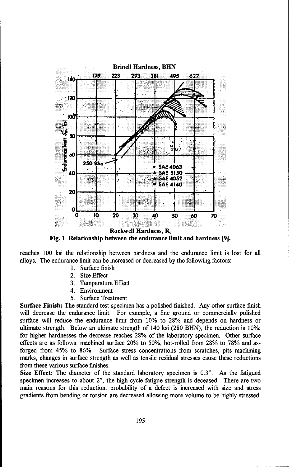

Fig. **1** Relationship between the endurance limit and hardness **[9].**

reaches 100 ksi the relationship between hardness and the endurance limit is lost for all alloys. The endurance limit can be increased or decreased by the following factors:

- 1. Surface finish
- 2. Size Effect
- 3. Temperature Effect
- 4. Environment
- 5. Surface Treatment

Surface Finish: The standard test specimen has a polished finished. Any other surface finish will decrease the endurance limit. For example, a fine ground or commercially polished surface will reduce the endurance limit from 10% to 28% and depends on hardness or ultimate strength. Below an ultimate strength of 140 ksi (280 BHN), the reduction is 10%; for higher hardnesses the decrease reaches 28% of the laboratory specimen. Other surface effects are as follows: machined surface 20% to 50%, hot-rolled from 28% to 78% and asforged from 45% to 86%. Surface stress concentrations from scratches, pits machining marks, changes in surface strength as well as tensile residual stresses cause these reductions from these various surface finishes.

Size Effect: The diameter of the standard laboratory specimen is 0.3". As the fatigued specimen increases to about 2", the high cycle fatigue strength is deceased. There are two main reasons for this reduction: probability of a defect is increased with size and stress gradients from bending or torsion are decreased allowing more volume to be highly stressed.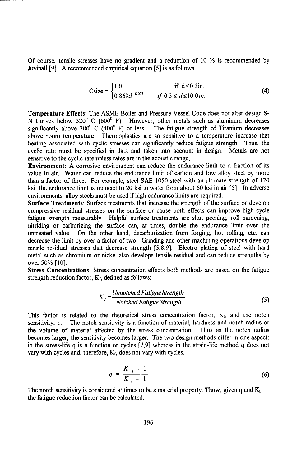Of course, tensile stresses have no gradient and a reduction of 10 % is recommended by Juvinall [9]. A recommended empirical equation [5] is as follows:

$$
\text{Csize} = \begin{cases} 1.0 & \text{if } d \le 0.3 \text{ in.} \\ 0.869d^{-0.097} & \text{if } 0.3 \le d \le 10.0 \text{ in.} \end{cases} \tag{4}
$$

Temperature Effects: The ASME Boiler and Pressure Vessel Code does not alter design **S-**N Curves below 320 $\degree$  C (600 $\degree$  F). However, other metals such as aluminum decreases significantly above 200<sup>0</sup> C (400<sup>0</sup> F) or less. The fatigue strength of Titanium decreases above room temperature. Thermoplastics are so sensitive to a temperature increase that heating associated with cyclic stresses can significantly reduce fatigue strength. Thus, the cyclic rate must be specified in data and taken into account in design. Metals are not sensitive to the cyclic rate unless rates are in the acoustic range,

Environment: A corrosive environment can reduce the endurance limit to a fraction of its value in air. Water can reduce the endurance limit of carbon and low alloy steel by more than a factor of three. For example, steel SAE 1050 steel with an ultimate strength of 120 ksi, the endurance limit is reduced to 20 ksi in water from about 60 ksi in air [5]. In adverse environments, alloy steels must be used if high endurance limits are required.

Surface Treatments: Surface treatments that increase the strength of the surface or develop compressive residual stresses on the surface or cause both effects can improve high cycle fatigue strength measurably. Helpful surface treatments are shot peening, roll hardening, nitriding or carburizing the surface can, at times, double the endurance limit over the untreated value. On the other hand, decarburization from forging, hot rolling, etc. can decrease the limit by over a factor of two. Grinding and other machining operations develop tensile residual stresses that decrease strength [5,8,9]. Electro plating of steel with hard metal such as chromium or nickel also develops tensile residual and can reduce strengths by over 50% [10].

Stress Concentrations: Stress concentration effects both methods are based on the fatigue strength reduction factor,  $K_f$ , defined as follows:

$$
K_f = \frac{Unnotched \; Fatigue \; Strength}{Notched \; Fatigue \; Strength} \tag{5}
$$

This factor is related to the theoretical stress concentration factor,  $K_t$ , and the notch sensitivity, q. The notch sensitivity is a function of material, hardness and notch radius or the volume of material affected by the stress concentration. Thus as the notch radius becomes larger, the sensitivity becomes larger. The two design methods differ in one aspect: in the stress-life q is a function or cycles [7,9] whereas in the strain-life method q does not vary with cycles and, therefore,  $K_f$ , does not vary with cycles.

$$
q = \frac{K_f - 1}{K_f - 1}
$$
 (6)

The notch sensitivity is considered at times to be a material property. Thuw, given q and  $K_t$ the fatigue reduction factor can be calculated.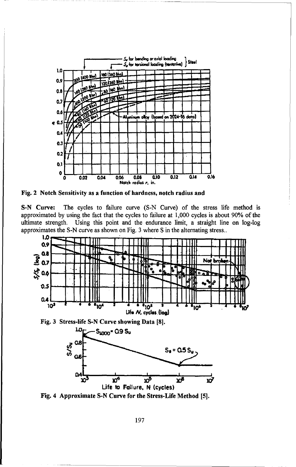

Fig. 2 Notch Sensitivity as a function of hardness, notch radius and

S-N Curve: The cycles to failure curve (S-N Curve) of the stress life method is approximated by using the fact that the cycles to failure at 1,000 cycles is about 90% of the Using this point and the endurance limit, a straight line on log-log ultimate strength. approximates the S-N curve as shown on Fig. 3 where S in the alternating stress..







Fig. 4 Approximate S-N Curve for the Stress-Life Method [5].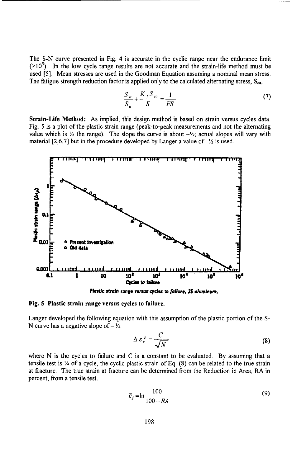The S-N curve presented in Fig. 4 is accurate in the cyclic range near the endurance limit  $(>10<sup>5</sup>)$ . In the low cycle range results are not accurate and the strain-life method must be used [5]. Mean stresses are used in the Goodman Equation assuming a nominal mean stress. The fatigue strength reduction factor is applied only to the calculated alternating stress,  $S_{ca}$ ,

$$
\frac{S_m}{S_u} + \frac{K_f S_{ca}}{S} = \frac{1}{FS}
$$
 (7)

Strain-Life Method: As implied, this design method is based on strain versus cycles data. Fig. 5 is a plot of the plastic strain range (peak-to-peak measurements and not the alternating value which is  $\frac{1}{2}$  the range). The slope the curve is about  $-\frac{1}{2}$ ; actual slopes will vary with material [2,6,7] but in the procedure developed by Langer a value of  $-\frac{1}{2}$  is used.



Fig. 5 Plastic strain range versus cycles to failure.

Langer developed the following equation with this assumption of the plastic portion of the S-N curve has a negative slope of  $-\frac{1}{2}$ .

$$
\Delta \varepsilon_r^{\ p} = \frac{C}{\sqrt{N}} \tag{8}
$$

where N is the cycles to failure and C is a constant to be evaluated. By assuming that a tensile test is 1/4 of a cycle, the cyclic plastic strain of Eq. (8) can be related to the true strain at fracture. The true strain at fracture can be determined from the Reduction in Area, RA in percent, from a tensile test.

$$
\bar{\varepsilon}_f = \ln \frac{100}{100 - RA} \tag{9}
$$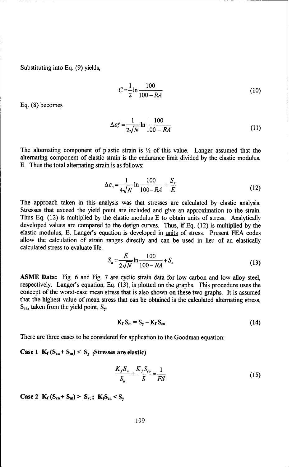Substituting into Eq. (9) yields,

$$
C = \frac{1}{2} \ln \frac{100}{100 - RA} \tag{10}
$$

Eq. (8) becomes

$$
\Delta \varepsilon_r^P = \frac{1}{2\sqrt{N}} \ln \frac{100}{100 - RA} \tag{11}
$$

The alternating component of plastic strain is  $\frac{1}{2}$  of this value. Langer assumed that the alternating component of elastic strain is the endurance limit divided by the elastic modulus, E. Thus the total alternating strain is as follows:

$$
\Delta \varepsilon_a = \frac{1}{4\sqrt{N}} \ln \frac{100}{100 - RA} + \frac{S_e}{E}
$$
 (12)

The approach taken in this analysis was that stresses are calculated by elastic analysis. Stresses that exceed the yield point are included and give an approximation to the strain. Thus Eq. (12) is multiplied by the elastic modulus E to obtain units of stress. Analytically developed values are compared to the design curves. Thus, if Eq. (12) is multiplied by the elastic modulus, E, Langer's equation is developed in units of stress. Present FEA codes allow the calculation of strain ranges directly and can be used in lieu of an elastically calculated stress to evaluate life.

$$
S_a = \frac{E}{2\sqrt{N}} \ln \frac{100}{100 - RA} + S_e
$$
 (13)

**ASME** Data: Fig. 6 and Fig. 7 are cyclic strain data for low carbon and low alloy steel, respectively. Langer's equation, Eq. (13), is plotted on the graphs. This procedure uses the concept of the worst-case mean stress that is also shown on these two graphs. It is assumed that the highest value of mean stress that can be obtained is the calculated alternating stress, S.a, taken from the yield point, **S,.**

$$
K_f S_m = S_y - K_f S_{ca}
$$
 (14)

There are three cases to be considered for application to the Goodman equation:

#### Case 1  $K_f$   $(S_{ca} + S_m) < S_y$  (Stresses are elastic)

$$
\frac{K_f S_m}{S_u} + \frac{K_f S_{ca}}{S} = \frac{1}{FS}
$$
\n(15)

**Case 2**  $K_f (S_{ca} + S_m) > S_{y}$ ;  $K_f S_{ca} < S_y$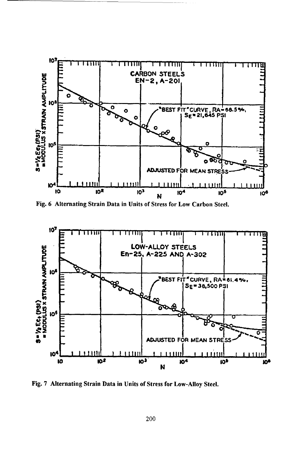

Fig. 6 Alternating Strain Data in Units of Stress for Low Carbon Steel.



Fig. 7 Alternating Strain Data in Units of Stress for Low-Alloy Steel.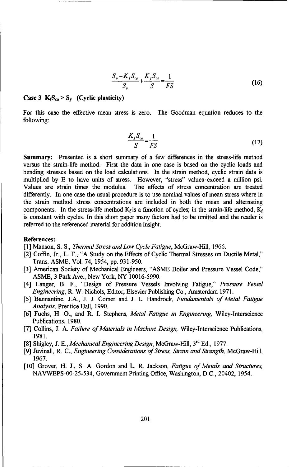$$
\frac{S_{y} - K_{f}S_{ca}}{S_{u}} + \frac{K_{f}S_{ca}}{S} = \frac{1}{FS}
$$
 (16)

#### **Case 3**  $K_1S_{ca} > S_y$  (Cyclic plasticity)

For this case the effective mean stress is zero. The Goodman equation reduces to the following:

$$
\frac{K_f S_{ca}}{S} = \frac{1}{FS} \tag{17}
$$

Summary: Presented is a short summary of a few differences in the stress-life method versus the strain-life method. First the data in one case is based on the cyclic loads and bending stresses based on the load calculations. In the strain method, cyclic strain data is multiplied by E to have units of stress. However, "stress" values exceed a million psi. Values are strain times the modulus. The effects of stress concentration are treated differently. In one case the usual procedure is to use nominal values of mean stress where in the strain method stress concentrations are included in both the mean and alternating components. In the stress-life method  $K_f$  is a function of cycles; in the strain-life method,  $K_f$ is constant with cycles. In this short paper many factors had to be omitted and the reader is referred to the referenced material for addition insight.

#### References:

[1] Manson, S. S., *Thermal Stress and Low Cycle Fatigue,* McGraw-Hill, 1966.

- [2] Coffin, Jr., L. F., "A Study on the Effects of Cyclic Thermal Stresses on Ductile Metal," Trans. ASME, Vol. 74, 1954, pp. 931-950.
- [3] American Society of Mechanical Engineers, "ASME Boiler and Pressure Vessel Code," ASME, 3 Park Ave., New York, NY 10016-5990.
- [4] Langer, B. F., "Design of Pressure Vessels Involving Fatigue," *Pressure Vessel Engineering,* R. W. Nichols, Editor, Elsevier Publishing Co., Amsterdam 1971.
- [5] Bannantine, J.A., J. J. Comer and J. L. Handrock, *Fundamentals of Metal Fatigue Analysis,* Prentice Hall, 1990.
- [6] Fuchs, H. **0.,** and R. I. Stephens, *Metal Fatigue in Engineering,* Wiley-Interscience Publications, 1980.
- [7] Collins, J. A. *Failure of Materials in Machine Design,* Wiley-Interscience Publications, 1981.
- [8] Shigley, J. **E.,** *Mechanical Engineering Design,* McGraw-Hill, **3rd** Ed., 1977.
- [9] Juvinall, R. C., *Engineering Considerations of Stress, Strain and Strength,* McGraw-Hill, 1967.
- [10] Grover, H. J., S. A. Gordon and L. R. Jackson, *Fatigue of Metals and Structures,* NAVWEPS-00-25-534, Government Printing Office, Washington, D.C., 20402, 1954.